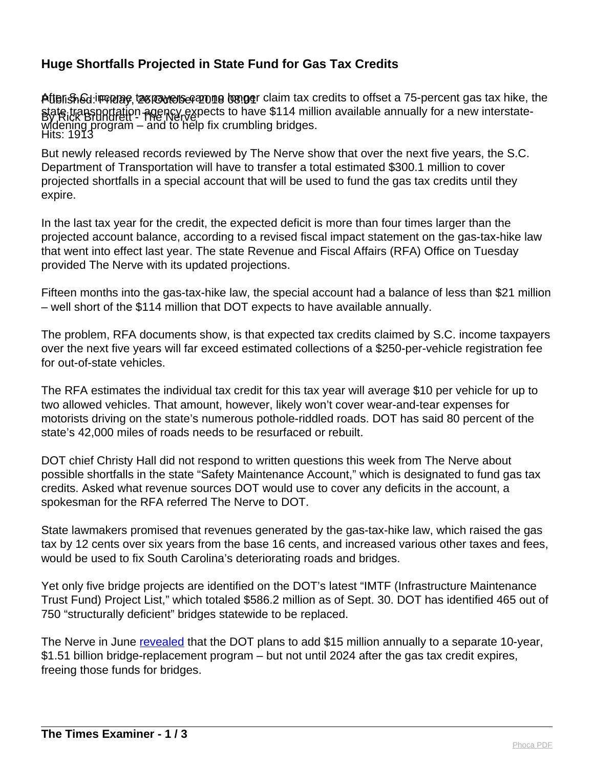## **Huge Shortfalls Projected in State Fund for Gas Tax Credits**

Attensh&d:iஈஈ@æe, tæræverse azone bæger claim tax credits to offset a 75-percent gas tax hike, the By Rick Brundrett - The Nerve Hits: 1913 state transportation agency expects to have \$114 million available annually for a new interstatewidening program – and to help fix crumbling bridges.

But newly released records reviewed by The Nerve show that over the next five years, the S.C. Department of Transportation will have to transfer a total estimated \$300.1 million to cover projected shortfalls in a special account that will be used to fund the gas tax credits until they expire.

In the last tax year for the credit, the expected deficit is more than four times larger than the projected account balance, according to a revised fiscal impact statement on the gas-tax-hike law that went into effect last year. The state Revenue and Fiscal Affairs (RFA) Office on Tuesday provided The Nerve with its updated projections.

Fifteen months into the gas-tax-hike law, the special account had a balance of less than \$21 million – well short of the \$114 million that DOT expects to have available annually.

The problem, RFA documents show, is that expected tax credits claimed by S.C. income taxpayers over the next five years will far exceed estimated collections of a \$250-per-vehicle registration fee for out-of-state vehicles.

The RFA estimates the individual tax credit for this tax year will average \$10 per vehicle for up to two allowed vehicles. That amount, however, likely won't cover wear-and-tear expenses for motorists driving on the state's numerous pothole-riddled roads. DOT has said 80 percent of the state's 42,000 miles of roads needs to be resurfaced or rebuilt.

DOT chief Christy Hall did not respond to written questions this week from The Nerve about possible shortfalls in the state "Safety Maintenance Account," which is designated to fund gas tax credits. Asked what revenue sources DOT would use to cover any deficits in the account, a spokesman for the RFA referred The Nerve to DOT.

State lawmakers promised that revenues generated by the gas-tax-hike law, which raised the gas tax by 12 cents over six years from the base 16 cents, and increased various other taxes and fees, would be used to fix South Carolina's deteriorating roads and bridges.

Yet only five bridge projects are identified on the DOT's latest "IMTF (Infrastructure Maintenance Trust Fund) Project List," which totaled \$586.2 million as of Sept. 30. DOT has identified 465 out of 750 "structurally deficient" bridges statewide to be replaced.

The Nerve in June [revealed](https://thenerve.org/gas-tax-hike-still-not-fixing-roads-wont-fund-bridges-until-2024/) that the DOT plans to add \$15 million annually to a separate 10-year, \$1.51 billion bridge-replacement program – but not until 2024 after the gas tax credit expires, freeing those funds for bridges.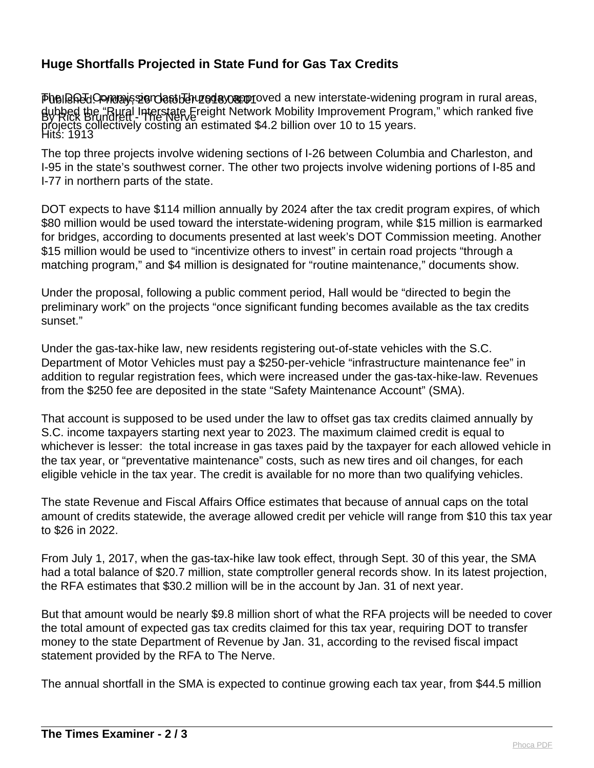## **Huge Shortfalls Projected in State Fund for Gas Tax Credits**

Published: Friday, 26 October 2018 08:01 By Rick Brundrett - The Nerve Hits: 1913 PhelBRIdCommanission datibuted ay approved a new interstate-widening program in rural areas, dubbed the "Rural Interstate Freight Network Mobility Improvement Program," which ranked five projects collectively costing an estimated \$4.2 billion over 10 to 15 years.

The top three projects involve widening sections of I-26 between Columbia and Charleston, and I-95 in the state's southwest corner. The other two projects involve widening portions of I-85 and I-77 in northern parts of the state.

DOT expects to have \$114 million annually by 2024 after the tax credit program expires, of which \$80 million would be used toward the interstate-widening program, while \$15 million is earmarked for bridges, according to documents presented at last week's DOT Commission meeting. Another \$15 million would be used to "incentivize others to invest" in certain road projects "through a matching program," and \$4 million is designated for "routine maintenance," documents show.

Under the proposal, following a public comment period, Hall would be "directed to begin the preliminary work" on the projects "once significant funding becomes available as the tax credits sunset."

Under the gas-tax-hike law, new residents registering out-of-state vehicles with the S.C. Department of Motor Vehicles must pay a \$250-per-vehicle "infrastructure maintenance fee" in addition to regular registration fees, which were increased under the gas-tax-hike-law. Revenues from the \$250 fee are deposited in the state "Safety Maintenance Account" (SMA).

That account is supposed to be used under the law to offset gas tax credits claimed annually by S.C. income taxpayers starting next year to 2023. The maximum claimed credit is equal to whichever is lesser: the total increase in gas taxes paid by the taxpayer for each allowed vehicle in the tax year, or "preventative maintenance" costs, such as new tires and oil changes, for each eligible vehicle in the tax year. The credit is available for no more than two qualifying vehicles.

The state Revenue and Fiscal Affairs Office estimates that because of annual caps on the total amount of credits statewide, the average allowed credit per vehicle will range from \$10 this tax year to \$26 in 2022.

From July 1, 2017, when the gas-tax-hike law took effect, through Sept. 30 of this year, the SMA had a total balance of \$20.7 million, state comptroller general records show. In its latest projection, the RFA estimates that \$30.2 million will be in the account by Jan. 31 of next year.

But that amount would be nearly \$9.8 million short of what the RFA projects will be needed to cover the total amount of expected gas tax credits claimed for this tax year, requiring DOT to transfer money to the state Department of Revenue by Jan. 31, according to the revised fiscal impact statement provided by the RFA to The Nerve.

The annual shortfall in the SMA is expected to continue growing each tax year, from \$44.5 million